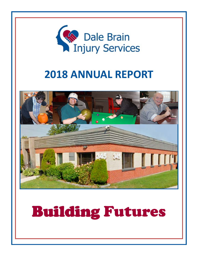

# **2018 ANNUAL REPORT**



# Building Building Futures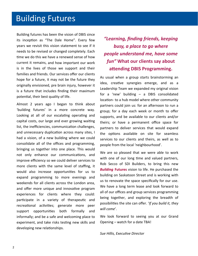### Building Futures

Building futures has been the vision of DBIS since its inception as "The Dale Home". Every few years we revisit this vision statement to see if it needs to be revised or changed completely. Each time we do this we have a renewed sense of how current it remains, and how important our work is in the lives of those we support and their families and friends. Our services offer our clients hope for a future, it may not be the future they originally envisioned, pre brain injury, however it is a future that includes finding their maximum potential, their best quality of life.

Almost 2 years ago I began to think about 'building futures' in a more concrete way. Looking at all of our escalating operating and capital costs, our large and ever growing waiting list, the inefficiencies, communication challenges, and unnecessary duplication across many sites, I had a vision, of a new building where we could consolidate all of the offices and programming, bringing us together into one place. This would not only enhance our communications, and improve efficiency so we could deliver services to more clients with the same level of staffing, it would also increase opportunities for us to expand programming to more evenings and weekends for all clients across the London area, and offer more unique and innovative program experiences for clients where they could: participate in a variety of therapeutic and recreational activities; generate more peer support opportunities both formally and informally; and be a safe and welcoming place to experiment, and take risks testing new skills and developing new relationships.

*"Learning, finding friends, keeping busy, a place to go where people understand me, have some fun"* **What our clients say about aƩending DBIS Programming.**

As usual when a group starts brainstorming an idea, creative synergies emerge, and as a Leadership Team we expanded my original vision for a 'new' building – a DBIS consolidated location- to a hub model where other community partners could join us: for an afternoon to run a group; for a day each week or month to offer supports, and be available to our clients and/or theirs; or have a permanent office space for partners to deliver services that would expand the options available on site for seamless services to our clients and theirs, as well as to people from the local 'neighbourhood'.

We are so pleased that we were able to work with one of our long time and valued partners, Rob Secco of SDI Builders, to bring this new *Building* **Futures** vision to life. He purchased the building on Saskatoon Street and is working with us to renovate the space specifically for our use. We have a long term lease and look forward to all of our offices and group services programming being together, and exploring the breadth of possibiliƟes the site can offer. '*If you build it, they will come*'.

We look forward to seeing you at our Grand Opening – watch for a date TBA!

*Sue Hillis, ExecuƟve Director*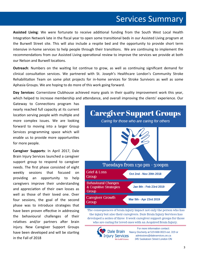### Services Summary

Assisted Living: We were fortunate to receive additional funding from the South West Local Health Integration Network late in the fiscal year to open some transitional beds in our Assisted Living program at the Burwell Street site. This will also include a respite bed and the opportunity to provide short term intensive in-home services to help people through their transitions. We are continuing to implement the recommendations from our Assisted Living operational review to improve the services we provide at both our Nelson and Burwell locations.

**Outreach**: Numbers on the waiting list continue to grow, as well as continuing significant demand for clinical consultation services. We partnered with St. Joseph's Healthcare London's Community Stroke Rehabilitation Team on some pilot projects for in-home services for Stroke Survivors as well as some Aphasia Groups. We are hoping to do more of this work going forward.

**Day Services**: Cornerstone Clubhouse achieved many goals in their quality improvement work this year, which helped to increase membership and attendance, and overall improving the clients' experience. Our

Gateway to Connections program has nearly reached full capacity at its current location serving people with multiple and more complex issues. We are looking forward to moving into a larger Group Services programming space which will enable us to provide more opportunities for more people.

**Caregiver Supports**: In April 2017, Dale Brain Injury Services launched a caregiver support group to respond to caregiver needs. The first phase consisted of eight weekly sessions that focused on providing an opportunity to help caregivers improve their understanding and appreciation of their own losses as well as those of their loved one. Over four sessions, the goal of the second phase was to introduce strategies that have been proven effective in addressing the behavioural challenges of their relatives and/or partners after brain injury. New Caregiver Support Groups have been developed and will be starting in the Fall of 2018



the injury but also their caregivers. Dale Brain Injury Services has developed a series of three 8 week caregiver support groups for those who are caring for loved ones with an Acquired Brain Injury.



For more information contact: Nancy Docherty at 519-668-0023 ext. 319 or admissions@daleservices.on.ca 345 Saskatoon Street London ON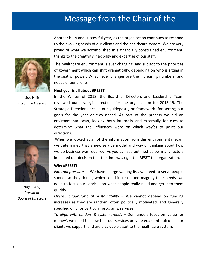# Message from the Chair of the

Another busy and successful year, as the organization continues to respond to the evolving needs of our clients and the healthcare system. We are very proud of what we accomplished in a financially constrained environment, thanks to the creativity, flexibility and expertise of our staff.



Sue Hillis *ExecuƟve Director*

The healthcare environment is ever changing, and subject to the priorities of government which can shift dramatically, depending on who is sitting in the seat of power. What never changes are the increasing numbers, and needs of our clients.

### **Next year is all about #RESET**

In the Winter of 2018, the Board of Directors and Leadership Team reviewed our strategic directions for the organization for 2018-19. The Strategic Directions act as our guideposts, or framework, for setting our goals for the year or two ahead. As part of the process we did an environmental scan, looking both internally and externally for cues to determine what the influences were on which way(s) to point our directions.

When we looked at all of the information from this environmental scan, we determined that a new service model and way of thinking about how we do business was required. As you can see outlined below many factors impacted our decision that the time was right to #RESET the organization.

#### **Why #RESET?**

*External pressures* – We have a large waiting list, we need to serve people sooner so they don't , which could increase and magnify their needs, we need to focus our services on what people really need and get it to them quickly.

*Overall Organizational Sustainability – We cannot depend on funding* increases as they are random, often politically motivated, and generally specified only for particular programs/services.

*To align with funders & system trends* – Our funders focus on 'value for money', we need to show that our services provide excellent outcomes for clients we support, and are a valuable asset to the healthcare system.



Nigel Gilby *President Board of Directors*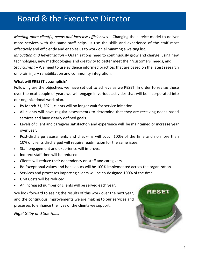# Board & the Executive Director

*MeeƟng more client(s) needs and increase efficiencies* – Changing the service model to deliver more services with the same staff helps us use the skills and experience of the staff most effectively and efficiently and enables us to work on eliminating a waiting list.

*Innovation and Revitalization* – Organizations need to continuously grow and change, using new technologies, new methodologies and creativity to better meet their 'customers' needs; and *Stay current* – We need to use evidence informed pracƟces that are based on the latest research on brain injury rehabilitation and community integration.

### **What will #RESET accomplish?**

Following are the objectives we have set out to achieve as we RESET. In order to realize these over the next couple of years we will engage in various activities that will be incorporated into our organizational work plan.

- By March 31, 2021, clients will no longer wait for service initiation.
- All clients will have regular assessments to determine that they are receiving needs-based services and have clearly defined goals.
- Levels of client and caregiver satisfaction and experience will be maintained or increase year over year.
- Post-discharge assessments and check-ins will occur 100% of the time and no more than 10% of clients discharged will require readmission for the same issue.
- Staff engagement and experience will improve.
- Indirect staff time will be reduced.
- Clients will reduce their dependency on staff and caregivers.
- Be Exceptional values and behaviours will be 100% implemented across the organization.
- Services and processes impacting clients will be co-designed 100% of the time.
- Unit Costs will be reduced.
- An increased number of clients will be served each year.

We look forward to seeing the results of this work over the next year, and the continuous improvements we are making to our services and processes to enhance the lives of the clients we support.

*Nigel Gilby and Sue Hillis* 

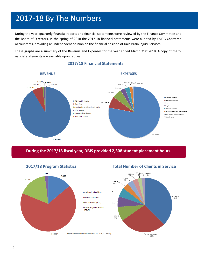# 2017‐18 By The Numbers

During the year, quarterly financial reports and financial statements were reviewed by the Finance Committee and the Board of Directors. In the spring of 2018 the 2017‐18 financial statements were audited by KMPG Chartered Accountants, providing an independent opinion on the financial position of Dale Brain Injury Services.

These graphs are a summary of the Revenue and Expenses for the year ended March 31st 2018. A copy of the fi‐ nancial statements are available upon request.



### **2017/18 Financial Statements**

**During the 2017/18 fiscal year, DBIS provided 2,308 student placement hours.**

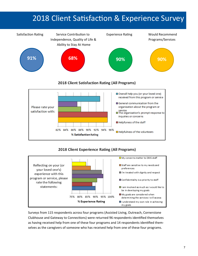# 2018 Client Satisfaction & Experience Survey



### 2018 Client Experience Rating (All Programs)



Surveys from 115 respondents across four programs (Assisted Living, Outreach, Cornerstone Clubhouse and Gateway to Connections) were returned 96 respondents identified themselves as having received help from one of these four programs and 14 respondents identified themselves as the caregivers of someone who has received help from one of these four programs.